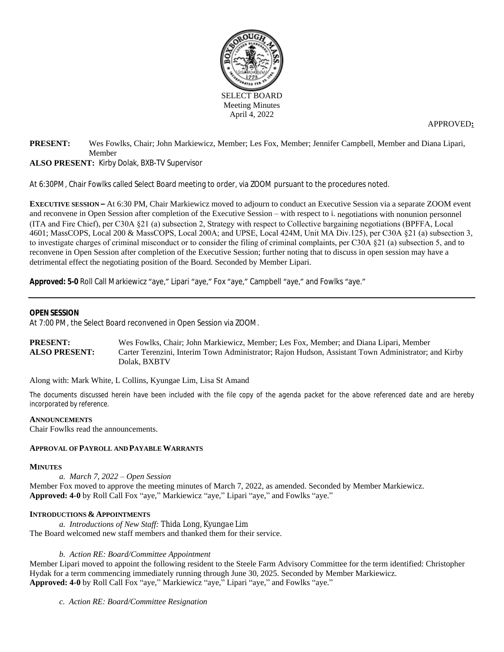

APPROVED**:**

## **PRESENT:** Wes Fowlks, Chair; John Markiewicz, Member; Les Fox, Member; Jennifer Campbell, Member and Diana Lipari, Member **ALSO PRESENT:** Kirby Dolak, BXB-TV Supervisor

At 6:30PM, Chair Fowlks called Select Board meeting to order, via ZOOM pursuant to the procedures noted.

**EXECUTIVE SESSION –** At 6:30 PM, Chair Markiewicz moved to adjourn to conduct an Executive Session via a separate ZOOM event and reconvene in Open Session after completion of the Executive Session – with respect to i. negotiations with nonunion personnel (ITA and Fire Chief), per C30A §21 (a) subsection 2, Strategy with respect to Collective bargaining negotiations (BPFFA, Local 4601; MassCOPS, Local 200 & MassCOPS, Local 200A; and UPSE, Local 424M, Unit MA Div.125), per C30A §21 (a) subsection 3, to investigate charges of criminal misconduct or to consider the filing of criminal complaints, per C30A §21 (a) subsection 5, and to reconvene in Open Session after completion of the Executive Session; further noting that to discuss in open session may have a detrimental effect the negotiating position of the Board. Seconded by Member Lipari.

**Approved: 5-0** Roll Call Markiewicz "aye," Lipari "aye," Fox "aye," Campbell "aye," and Fowlks "aye."

## **OPENSESSION**

At 7:00 PM, the Select Board reconvened in Open Session via ZOOM.

| <b>PRESENT:</b>      | Wes Fowlks, Chair; John Markiewicz, Member; Les Fox, Member; and Diana Lipari, Member               |
|----------------------|-----------------------------------------------------------------------------------------------------|
| <b>ALSO PRESENT:</b> | Carter Terenzini, Interim Town Administrator; Rajon Hudson, Assistant Town Administrator; and Kirby |
|                      | Dolak. BXBTV                                                                                        |

Along with: Mark White, L Collins, Kyungae Lim, Lisa St Amand

The documents discussed herein have been included with the file copy of the agenda packet for the above referenced date and are hereby *incorporated by reference.*

#### **ANNOUNCEMENTS**

Chair Fowlks read the announcements.

## **APPROVAL OF PAYROLL AND PAYABLE WARRANTS**

#### **MINUTES**

*a. March 7, 2022 – Open Session* Member Fox moved to approve the meeting minutes of March 7, 2022, as amended. Seconded by Member Markiewicz.

#### **Approved: 4-0** by Roll Call Fox "aye," Markiewicz "aye," Lipari "aye," and Fowlks "aye."

#### **INTRODUCTIONS & APPOINTMENTS**

*a. Introductions of New Staff: Thida Long, Kyungae Lim* The Board welcomed new staff members and thanked them for their service.

#### *b. Action RE: Board/Committee Appointment*

Member Lipari moved to appoint the following resident to the Steele Farm Advisory Committee for the term identified: Christopher Hydak for a term commencing immediately running through June 30, 2025. Seconded by Member Markiewicz. **Approved: 4-0** by Roll Call Fox "aye," Markiewicz "aye," Lipari "aye," and Fowlks "aye."

*c. Action RE: Board/Committee Resignation*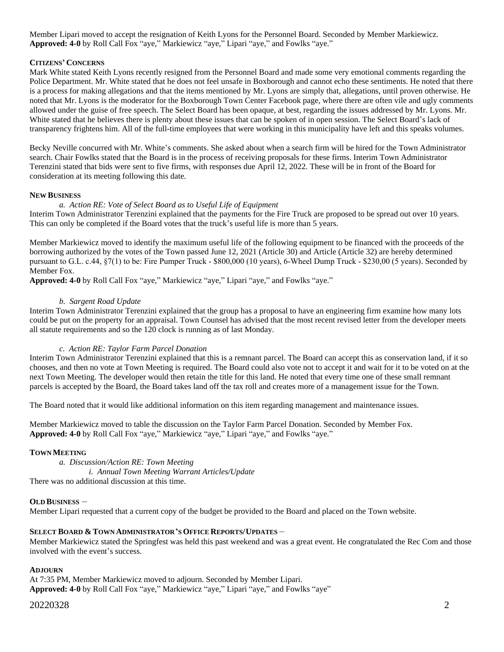Member Lipari moved to accept the resignation of Keith Lyons for the Personnel Board. Seconded by Member Markiewicz. **Approved: 4-0** by Roll Call Fox "aye," Markiewicz "aye," Lipari "aye," and Fowlks "aye."

## **CITIZENS' CONCERNS**

Mark White stated Keith Lyons recently resigned from the Personnel Board and made some very emotional comments regarding the Police Department. Mr. White stated that he does not feel unsafe in Boxborough and cannot echo these sentiments. He noted that there is a process for making allegations and that the items mentioned by Mr. Lyons are simply that, allegations, until proven otherwise. He noted that Mr. Lyons is the moderator for the Boxborough Town Center Facebook page, where there are often vile and ugly comments allowed under the guise of free speech. The Select Board has been opaque, at best, regarding the issues addressed by Mr. Lyons. Mr. White stated that he believes there is plenty about these issues that can be spoken of in open session. The Select Board's lack of transparency frightens him. All of the full-time employees that were working in this municipality have left and this speaks volumes.

Becky Neville concurred with Mr. White's comments. She asked about when a search firm will be hired for the Town Administrator search. Chair Fowlks stated that the Board is in the process of receiving proposals for these firms. Interim Town Administrator Terenzini stated that bids were sent to five firms, with responses due April 12, 2022. These will be in front of the Board for consideration at its meeting following this date.

## **NEW BUSINESS**

## *a. Action RE: Vote of Select Board as to Useful Life of Equipment*

Interim Town Administrator Terenzini explained that the payments for the Fire Truck are proposed to be spread out over 10 years. This can only be completed if the Board votes that the truck's useful life is more than 5 years.

Member Markiewicz moved to identify the maximum useful life of the following equipment to be financed with the proceeds of the borrowing authorized by the votes of the Town passed June 12, 2021 (Article 30) and Article (Article 32) are hereby determined pursuant to G.L. c.44, §7(1) to be: Fire Pumper Truck - \$800,000 (10 years), 6-Wheel Dump Truck - \$230,00 (5 years). Seconded by Member Fox.

**Approved: 4-0** by Roll Call Fox "aye," Markiewicz "aye," Lipari "aye," and Fowlks "aye."

## *b. Sargent Road Update*

Interim Town Administrator Terenzini explained that the group has a proposal to have an engineering firm examine how many lots could be put on the property for an appraisal. Town Counsel has advised that the most recent revised letter from the developer meets all statute requirements and so the 120 clock is running as of last Monday.

#### *c. Action RE: Taylor Farm Parcel Donation*

Interim Town Administrator Terenzini explained that this is a remnant parcel. The Board can accept this as conservation land, if it so chooses, and then no vote at Town Meeting is required. The Board could also vote not to accept it and wait for it to be voted on at the next Town Meeting. The developer would then retain the title for this land. He noted that every time one of these small remnant parcels is accepted by the Board, the Board takes land off the tax roll and creates more of a management issue for the Town.

The Board noted that it would like additional information on this item regarding management and maintenance issues.

Member Markiewicz moved to table the discussion on the Taylor Farm Parcel Donation. Seconded by Member Fox. **Approved: 4-0** by Roll Call Fox "aye," Markiewicz "aye," Lipari "aye," and Fowlks "aye."

## **TOWN MEETING**

*a. Discussion/Action RE: Town Meeting i. Annual Town Meeting Warrant Articles/Update* There was no additional discussion at this time.

#### **OLD BUSINESS** –

Member Lipari requested that a current copy of the budget be provided to the Board and placed on the Town website.

## **SELECT BOARD & TOWN ADMINISTRATOR'S OFFICE REPORTS/UPDATES** –

Member Markiewicz stated the Springfest was held this past weekend and was a great event. He congratulated the Rec Com and those involved with the event's success.

#### **ADJOURN**

At 7:35 PM, Member Markiewicz moved to adjourn. Seconded by Member Lipari. **Approved: 4-0** by Roll Call Fox "aye," Markiewicz "aye," Lipari "aye," and Fowlks "aye"

## 20220328 2